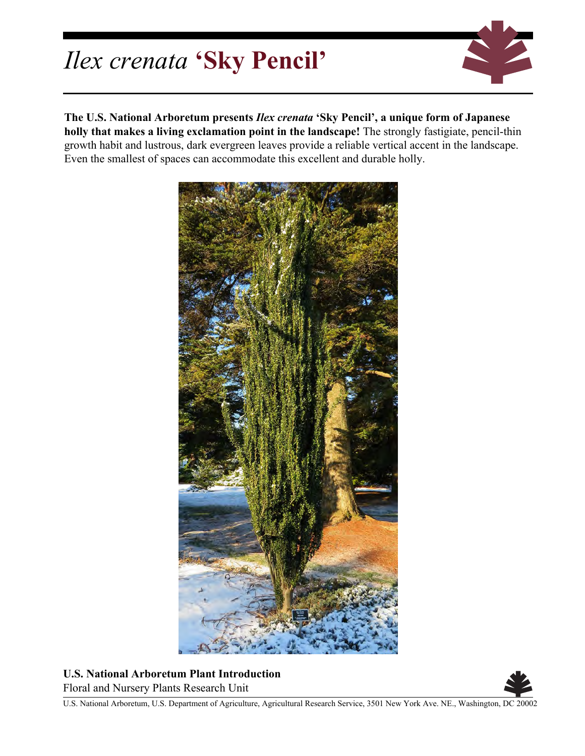## *Ilex crenata* **'Sky Pencil'**



**The U.S. National Arboretum presents** *Ilex crenata* **'Sky Pencil', a unique form of Japanese holly that makes a living exclamation point in the landscape!** The strongly fastigiate, pencil-thin growth habit and lustrous, dark evergreen leaves provide a reliable vertical accent in the landscape. Even the smallest of spaces can accommodate this excellent and durable holly.



**U.S. National Arboretum Plant Introduction** Floral and Nursery Plants Research Unit



U.S. National Arboretum, U.S. Department of Agriculture, Agricultural Research Service, 3501 New York Ave. NE., Washington, DC 20002